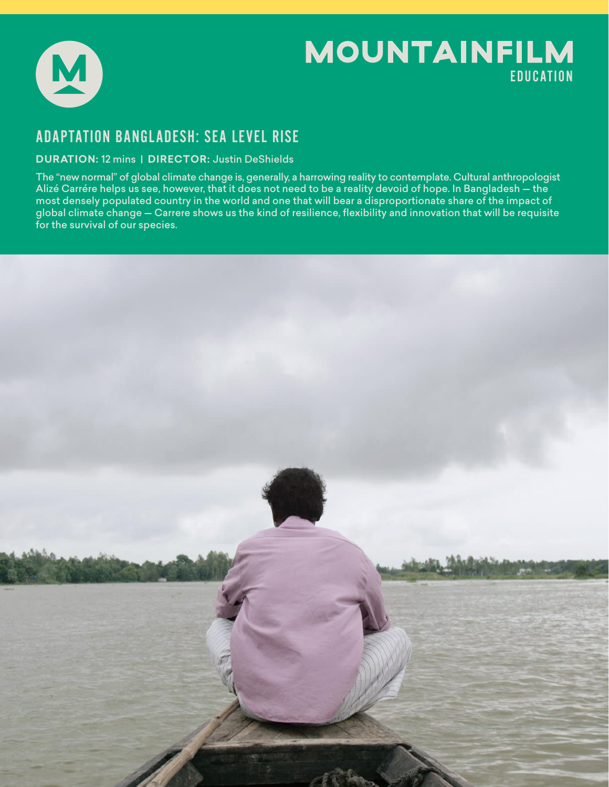

# **MOUNTAINFILM** EDUCATION

## ADAPTATION BANGLADESH: SEA LEVEL RISE

### **DURATION:** 12 mins | **DIRECTOR:** Justin DeShields

The "new normal" of global climate change is, generally, a harrowing reality to contemplate. Cultural anthropologist Alizé Carrére helps us see, however, that it does not need to be a reality devoid of hope. In Bangladesh — the most densely populated country in the world and one that will bear a disproportionate share of the impact of global climate change - Carrere shows us the kind of resilience, flexibility and innovation that will be requisite for the survival of our species.

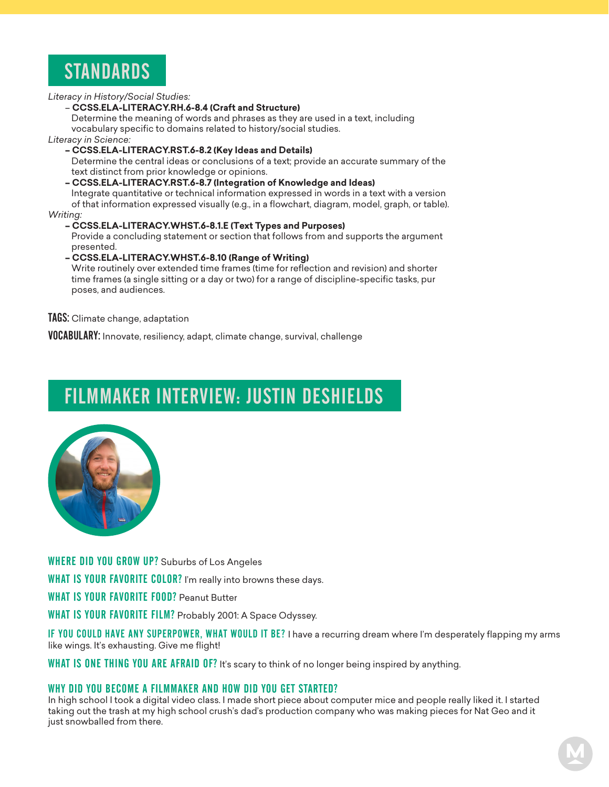

*Literacy in History/Social Studies:* 

#### – **CCSS.ELA-LITERACY.RH.6-8.4 (Craft and Structure)**

 Determine the meaning of words and phrases as they are used in a text, including vocabulary specific to domains related to history/social studies.

*Literacy in Science:*

**– CCSS.ELA-LITERACY.RST.6-8.2 (Key Ideas and Details)**

 Determine the central ideas or conclusions of a text; provide an accurate summary of the text distinct from prior knowledge or opinions.

### **– CCSS.ELA-LITERACY.RST.6-8.7 (Integration of Knowledge and Ideas)**

 Integrate quantitative or technical information expressed in words in a text with a version of that information expressed visually (e.g., in a flowchart, diagram, model, graph, or table). *Writing:*

#### **– CCSS.ELA-LITERACY.WHST.6-8.1.E (Text Types and Purposes)**

 Provide a concluding statement or section that follows from and supports the argument presented.

#### **– CCSS.ELA-LITERACY.WHST.6-8.10 (Range of Writing)**

 Write routinely over extended time frames (time for reflection and revision) and shorter time frames (a single sitting or a day or two) for a range of discipline-specific tasks, pur poses, and audiences.

#### TAGS: Climate change, adaptation

VOCABULARY: Innovate, resiliency, adapt, climate change, survival, challenge

# FILMMAKER INTERVIEW: JUSTIN DESHIELDS



WHERE DID YOU GROW UP? Suburbs of Los Angeles

WHAT IS YOUR FAVORITE COLOR? I'm really into browns these days.

WHAT IS YOUR FAVORITE FOOD? Peanut Butter

WHAT IS YOUR FAVORITE FILM? Probably 2001: A Space Odyssey.

IF YOU COULD HAVE ANY SUPERPOWER, WHAT WOULD IT BE? I have a recurring dream where I'm desperately flapping my arms like wings. It's exhausting. Give me flight!

WHAT IS ONE THING YOU ARE AFRAID OF? It's scary to think of no longer being inspired by anything.

#### WHY DID YOU BECOME A FILMMAKER AND HOW DID YOU GET STARTED?

In high school I took a digital video class. I made short piece about computer mice and people really liked it. I started taking out the trash at my high school crush's dad's production company who was making pieces for Nat Geo and it just snowballed from there.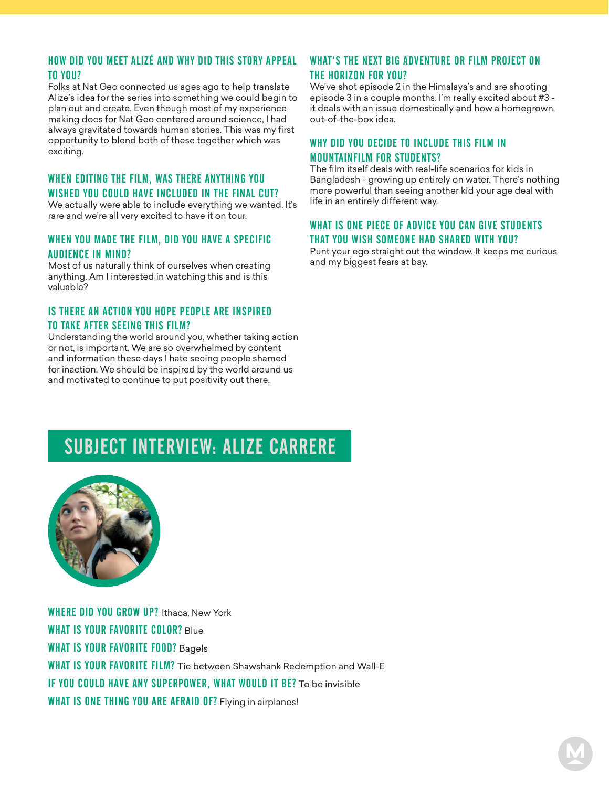### HOW DID YOU MEET ALIZÉ AND WHY DID THIS STORY APPEAL TO YOU?

Folks at Nat Geo connected us ages ago to help translate Alize's idea for the series into something we could begin to plan out and create. Even though most of my experience making docs for Nat Geo centered around science, I had always gravitated towards human stories. This was my first opportunity to blend both of these together which was exciting.

#### WHEN EDITING THE FILM, WAS THERE ANYTHING YOU WISHED YOU COULD HAVE INCLUDED IN THE FINAL CUT?

We actually were able to include everything we wanted. It's rare and we're all very excited to have it on tour.

#### WHEN YOU MADE THE FILM, DID YOU HAVE A SPECIFIC AUDIENCE IN MIND?

Most of us naturally think of ourselves when creating anything. Am I interested in watching this and is this valuable?

### IS THERE AN ACTION YOU HOPE PEOPLE ARE INSPIRED TO TAKE AFTER SEEING THIS FILM?

Understanding the world around you, whether taking action or not, is important. We are so overwhelmed by content and information these days I hate seeing people shamed for inaction. We should be inspired by the world around us and motivated to continue to put positivity out there.

### WHAT'S THE NEXT BIG ADVENTURE OR FILM PROJECT ON THE HORIZON FOR YOU?

We've shot episode 2 in the Himalaya's and are shooting episode 3 in a couple months. I'm really excited about #3 it deals with an issue domestically and how a homegrown, out-of-the-box idea.

### WHY DID YOU DECIDE TO INCLUDE THIS FILM IN MOUNTAINFILM FOR STUDENTS?

The film itself deals with real-life scenarios for kids in Bangladesh - growing up entirely on water. There's nothing more powerful than seeing another kid your age deal with life in an entirely different way.

### WHAT IS ONE PIECE OF ADVICE YOU CAN GIVE STUDENTS THAT YOU WISH SOMEONE HAD SHARED WITH YOU?

Punt your ego straight out the window. It keeps me curious and my biggest fears at bay.

# SUBJECT INTERVIEW: ALIZE CARRERE



WHERE DID YOU GROW UP? Ithaca, New York WHAT IS YOUR FAVORITE COLOR? Blue WHAT IS YOUR FAVORITE FOOD? Bagels WHAT IS YOUR FAVORITE FILM? Tie between Shawshank Redemption and Wall-E IF YOU COULD HAVE ANY SUPERPOWER, WHAT WOULD IT BE? To be invisible WHAT IS ONE THING YOU ARE AFRAID OF? Flying in airplanes!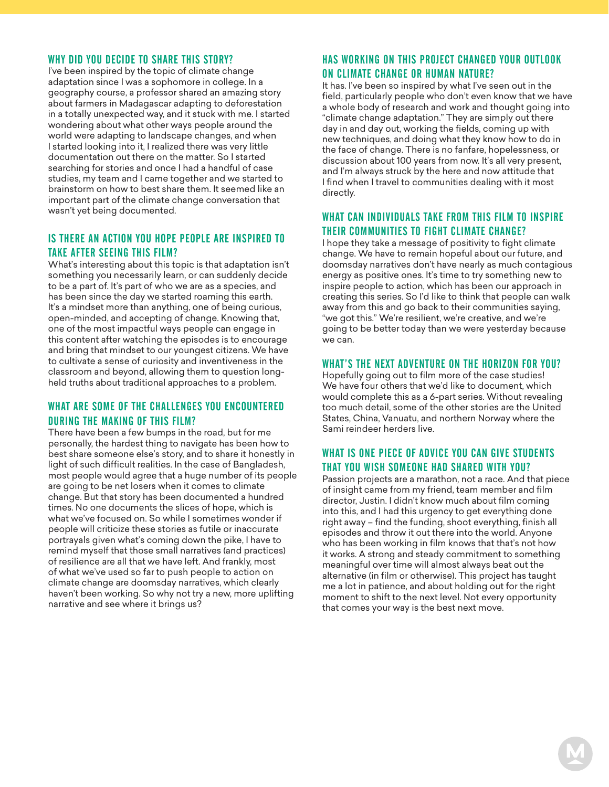#### WHY DID YOU DECIDE TO SHARE THIS STORY?

I've been inspired by the topic of climate change adaptation since I was a sophomore in college. In a geography course, a professor shared an amazing story about farmers in Madagascar adapting to deforestation in a totally unexpected way, and it stuck with me. I started wondering about what other ways people around the world were adapting to landscape changes, and when I started looking into it, I realized there was very little documentation out there on the matter. So I started searching for stories and once I had a handful of case studies, my team and I came together and we started to brainstorm on how to best share them. It seemed like an important part of the climate change conversation that wasn't yet being documented.

#### IS THERE AN ACTION YOU HOPE PEOPLE ARE INSPIRED TO TAKE AFTER SEEING THIS FILM?

What's interesting about this topic is that adaptation isn't something you necessarily learn, or can suddenly decide to be a part of. It's part of who we are as a species, and has been since the day we started roaming this earth. It's a mindset more than anything, one of being curious, open-minded, and accepting of change. Knowing that, one of the most impactful ways people can engage in this content after watching the episodes is to encourage and bring that mindset to our youngest citizens. We have to cultivate a sense of curiosity and inventiveness in the classroom and beyond, allowing them to question longheld truths about traditional approaches to a problem.

### WHAT ARE SOME OF THE CHALLENGES YOU ENCOUNTERED DURING THE MAKING OF THIS FILM?

There have been a few bumps in the road, but for me personally, the hardest thing to navigate has been how to best share someone else's story, and to share it honestly in light of such difficult realities. In the case of Bangladesh, most people would agree that a huge number of its people are going to be net losers when it comes to climate change. But that story has been documented a hundred times. No one documents the slices of hope, which is what we've focused on. So while I sometimes wonder if people will criticize these stories as futile or inaccurate portrayals given what's coming down the pike, I have to remind myself that those small narratives (and practices) of resilience are all that we have left. And frankly, most of what we've used so far to push people to action on climate change are doomsday narratives, which clearly haven't been working. So why not try a new, more uplifting narrative and see where it brings us?

### HAS WORKING ON THIS PROJECT CHANGED YOUR OUTLOOK ON CLIMATE CHANGE OR HUMAN NATURE?

It has. I've been so inspired by what I've seen out in the field, particularly people who don't even know that we have a whole body of research and work and thought going into "climate change adaptation." They are simply out there day in and day out, working the fields, coming up with new techniques, and doing what they know how to do in the face of change. There is no fanfare, hopelessness, or discussion about 100 years from now. It's all very present, and I'm always struck by the here and now attitude that I find when I travel to communities dealing with it most directly.

### WHAT CAN INDIVIDUALS TAKE FROM THIS FILM TO INSPIRE THEIR COMMUNITIES TO FIGHT CLIMATE CHANGE?

I hope they take a message of positivity to fight climate change. We have to remain hopeful about our future, and doomsday narratives don't have nearly as much contagious energy as positive ones. It's time to try something new to inspire people to action, which has been our approach in creating this series. So I'd like to think that people can walk away from this and go back to their communities saying, "we got this." We're resilient, we're creative, and we're going to be better today than we were yesterday because we can.

#### WHAT'S THE NEXT ADVENTURE ON THE HORIZON FOR YOU?

Hopefully going out to film more of the case studies! We have four others that we'd like to document, which would complete this as a 6-part series. Without revealing too much detail, some of the other stories are the United States, China, Vanuatu, and northern Norway where the Sami reindeer herders live.

### WHAT IS ONE PIECE OF ADVICE YOU CAN GIVE STUDENTS THAT YOU WISH SOMEONE HAD SHARED WITH YOU?

Passion projects are a marathon, not a race. And that piece of insight came from my friend, team member and film director, Justin. I didn't know much about film coming into this, and I had this urgency to get everything done right away – find the funding, shoot everything, finish all episodes and throw it out there into the world. Anyone who has been working in film knows that that's not how it works. A strong and steady commitment to something meaningful over time will almost always beat out the alternative (in film or otherwise). This project has taught me a lot in patience, and about holding out for the right moment to shift to the next level. Not every opportunity that comes your way is the best next move.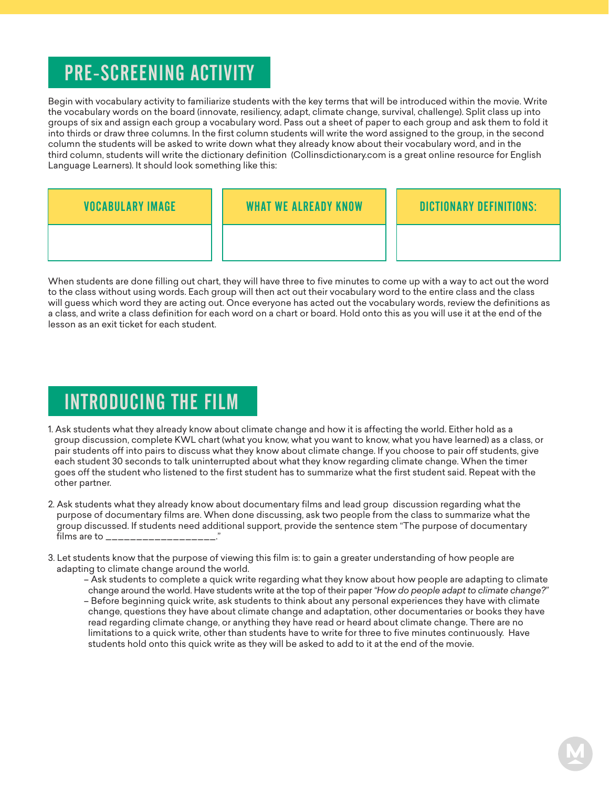# PRE-SCREENING ACTIVITY

Begin with vocabulary activity to familiarize students with the key terms that will be introduced within the movie. Write the vocabulary words on the board (innovate, resiliency, adapt, climate change, survival, challenge). Split class up into groups of six and assign each group a vocabulary word. Pass out a sheet of paper to each group and ask them to fold it into thirds or draw three columns. In the first column students will write the word assigned to the group, in the second column the students will be asked to write down what they already know about their vocabulary word, and in the third column, students will write the dictionary definition (Collinsdictionary.com is a great online resource for English Language Learners). It should look something like this:

| <b>VOCABULARY IMAGE</b> | <b>WHAT WE ALREADY KNOW</b> | <b>DICTIONARY DEFINITIONS:</b> |
|-------------------------|-----------------------------|--------------------------------|
|                         |                             |                                |

When students are done filling out chart, they will have three to five minutes to come up with a way to act out the word to the class without using words. Each group will then act out their vocabulary word to the entire class and the class will guess which word they are acting out. Once everyone has acted out the vocabulary words, review the definitions as a class, and write a class definition for each word on a chart or board. Hold onto this as you will use it at the end of the lesson as an exit ticket for each student.

# INTRODUCING THE FILM

- 1. Ask students what they already know about climate change and how it is affecting the world. Either hold as a group discussion, complete KWL chart (what you know, what you want to know, what you have learned) as a class, or pair students off into pairs to discuss what they know about climate change. If you choose to pair off students, give each student 30 seconds to talk uninterrupted about what they know regarding climate change. When the timer goes off the student who listened to the first student has to summarize what the first student said. Repeat with the other partner.
- 2. Ask students what they already know about documentary films and lead group discussion regarding what the purpose of documentary films are. When done discussing, ask two people from the class to summarize what the group discussed. If students need additional support, provide the sentence stem "The purpose of documentary films are to  $\_\_$
- 3. Let students know that the purpose of viewing this film is: to gain a greater understanding of how people are adapting to climate change around the world.
	- Ask students to complete a quick write regarding what they know about how people are adapting to climate
	- change around the world. Have students write at the top of their paper *"How do people adapt to climate change?"* – Before beginning quick write, ask students to think about any personal experiences they have with climate change, questions they have about climate change and adaptation, other documentaries or books they have read regarding climate change, or anything they have read or heard about climate change. There are no limitations to a quick write, other than students have to write for three to five minutes continuously. Have students hold onto this quick write as they will be asked to add to it at the end of the movie.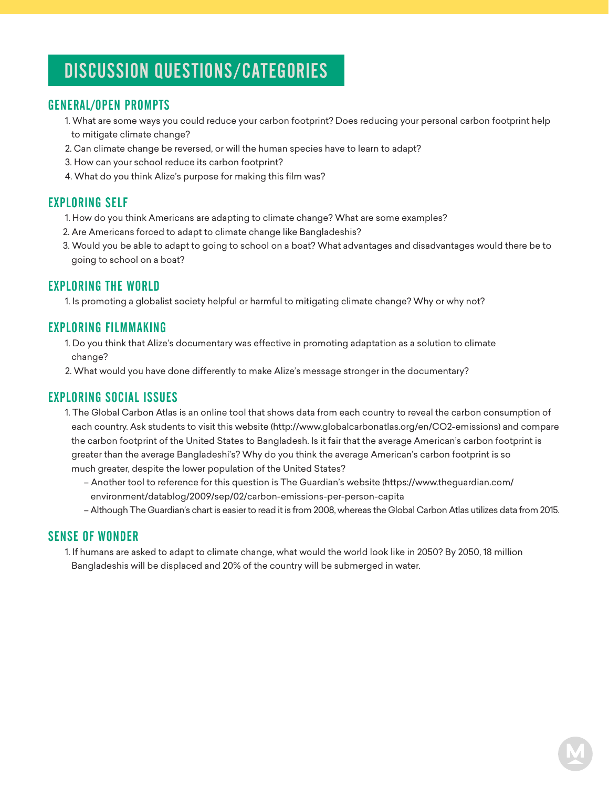# DISCUSSION QUESTIONS/CATEGORIES

## GENERAL/OPEN PROMPTS

- 1. What are some ways you could reduce your carbon footprint? Does reducing your personal carbon footprint help to mitigate climate change?
- 2. Can climate change be reversed, or will the human species have to learn to adapt?
- 3. How can your school reduce its carbon footprint?
- 4. What do you think Alize's purpose for making this film was?

## EXPLORING SELF

- 1. How do you think Americans are adapting to climate change? What are some examples?
- 2. Are Americans forced to adapt to climate change like Bangladeshis?
- 3. Would you be able to adapt to going to school on a boat? What advantages and disadvantages would there be to going to school on a boat?

## EXPLORING THE WORLD

1. Is promoting a globalist society helpful or harmful to mitigating climate change? Why or why not?

## EXPLORING FILMMAKING

- 1. Do you think that Alize's documentary was effective in promoting adaptation as a solution to climate change?
- 2. What would you have done differently to make Alize's message stronger in the documentary?

## EXPLORING SOCIAL ISSUES

- 1. The Global Carbon Atlas is an online tool that shows data from each country to reveal the carbon consumption of each country. Ask students to visit this website (http://www.globalcarbonatlas.org/en/CO2-emissions) and compare the carbon footprint of the United States to Bangladesh. Is it fair that the average American's carbon footprint is greater than the average Bangladeshi's? Why do you think the average American's carbon footprint is so much greater, despite the lower population of the United States?
	- Another tool to reference for this question is The Guardian's website (https://www.theguardian.com/ environment/datablog/2009/sep/02/carbon-emissions-per-person-capita
	- Although The Guardian's chart is easier to read it is from 2008, whereas the Global Carbon Atlas utilizes data from 2015.

## SENSE OF WONDER

 1. If humans are asked to adapt to climate change, what would the world look like in 2050? By 2050, 18 million Bangladeshis will be displaced and 20% of the country will be submerged in water.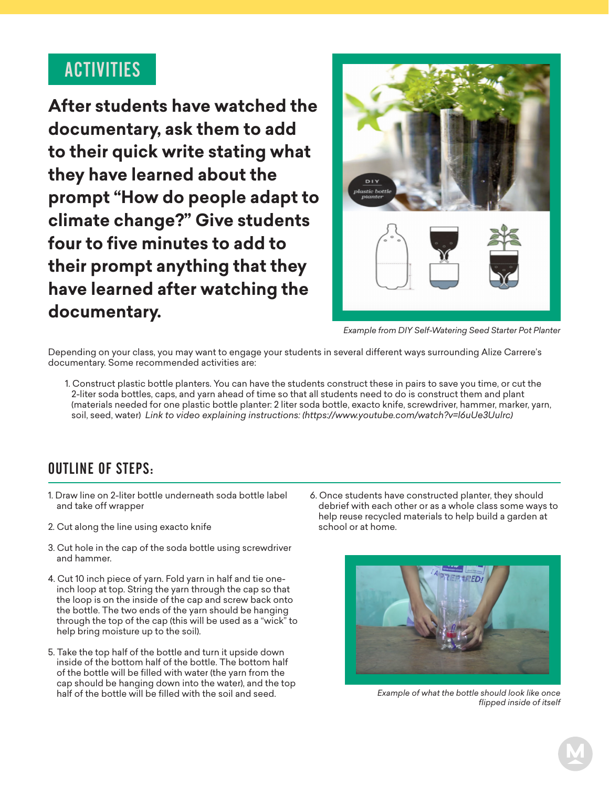# ACTIVITIES

**After students have watched the documentary, ask them to add to their quick write stating what they have learned about the prompt "How do people adapt to climate change?" Give students four to five minutes to add to their prompt anything that they have learned after watching the documentary.**



*Example from DIY Self-Watering Seed Starter Pot Planter*

Depending on your class, you may want to engage your students in several different ways surrounding Alize Carrere's documentary. Some recommended activities are:

 1. Construct plastic bottle planters. You can have the students construct these in pairs to save you time, or cut the 2-liter soda bottles, caps, and yarn ahead of time so that all students need to do is construct them and plant (materials needed for one plastic bottle planter: 2 liter soda bottle, exacto knife, screwdriver, hammer, marker, yarn, soil, seed, water) *Link to video explaining instructions: (https://www.youtube.com/watch?v=l6uUe3Uulrc)*

## OUTLINE OF STEPS:

- 1. Draw line on 2-liter bottle underneath soda bottle label and take off wrapper
- 2. Cut along the line using exacto knife
- 3. Cut hole in the cap of the soda bottle using screwdriver and hammer.
- 4. Cut 10 inch piece of yarn. Fold yarn in half and tie one inch loop at top. String the yarn through the cap so that the loop is on the inside of the cap and screw back onto the bottle. The two ends of the yarn should be hanging through the top of the cap (this will be used as a "wick" to help bring moisture up to the soil).
- 5. Take the top half of the bottle and turn it upside down inside of the bottom half of the bottle. The bottom half of the bottle will be filled with water (the yarn from the cap should be hanging down into the water), and the top half of the bottle will be filled with the soil and seed.

6. Once students have constructed planter, they should debrief with each other or as a whole class some ways to help reuse recycled materials to help build a garden at school or at home.



*Example of what the bottle should look like once flipped inside of itself*